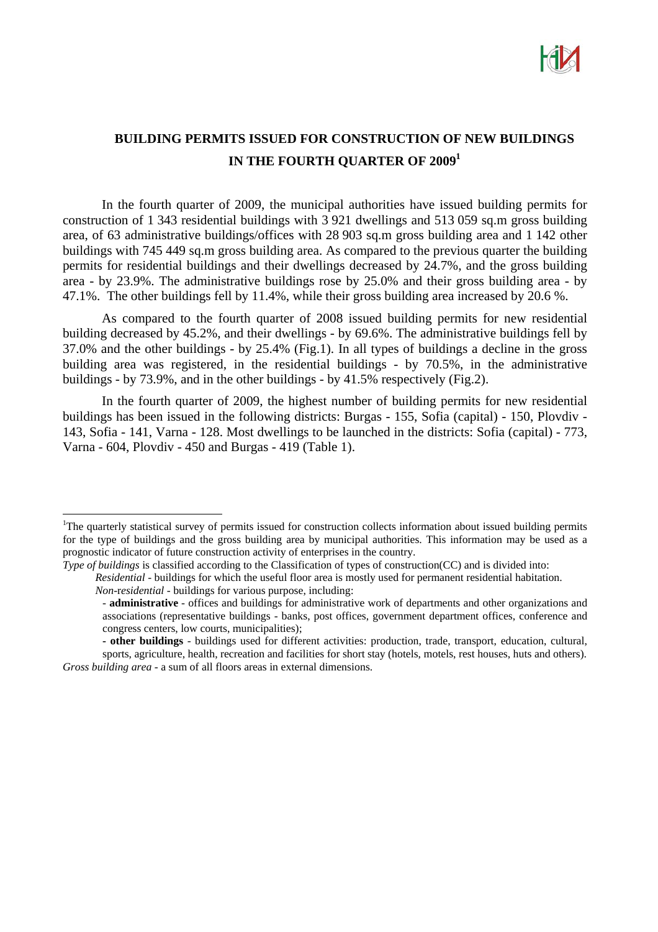

## **BUILDING PERMITS ISSUED FOR CONSTRUCTION OF NEW BUILDINGS IN THE FOURTH QUARTER OF 2009**<sup>1</sup>

In the fourth quarter of 2009, the municipal authorities have issued building permits for construction of 1 343 residential buildings with 3 921 dwellings and 513 059 sq.m gross building area, of 63 administrative buildings/offices with 28 903 sq.m gross building area and 1 142 other buildings with 745 449 sq.m gross building area. As compared to the previous quarter the building permits for residential buildings and their dwellings decreased by 24.7%, and the gross building area - by 23.9%. The administrative buildings rose by 25.0% and their gross building area - by 47.1%. The other buildings fell by 11.4%, while their gross building area increased by 20.6 %.

As compared to the fourth quarter of 2008 issued building permits for new residential building decreased by 45.2%, and their dwellings - by 69.6%. The administrative buildings fell by 37.0% and the other buildings - by 25.4% (Fig.1). In all types of buildings a decline in the gross building area was registered, in the residential buildings - by 70.5%, in the administrative buildings - by 73.9%, and in the other buildings - by 41.5% respectively (Fig.2).

In the fourth quarter of 2009, the highest number of building permits for new residential buildings has been issued in the following districts: Burgas - 155, Sofia (capital) - 150, Plovdiv - 143, Sofia - 141, Varna - 128. Most dwellings to be launched in the districts: Sofia (capital) - 773, Varna - 604, Plovdiv - 450 and Burgas - 419 (Table 1).

*Type of buildings* is classified according to the Classification of types of construction(CC) and is divided into:

 $\overline{a}$ 

<sup>&</sup>lt;sup>1</sup>The quarterly statistical survey of permits issued for construction collects information about issued building permits for the type of buildings and the gross building area by municipal authorities. This information may be used as a prognostic indicator of future construction activity of enterprises in the country.

*Residential* - buildings for which the useful floor area is mostly used for permanent residential habitation.

*Non*-r*esidential -* buildings for various purpose, including:

<sup>-</sup> **administrative** - offices and buildings for administrative work of departments and other organizations and associations (representative buildings - banks, post offices, government department offices, conference and congress centers, low courts, municipalities);

**<sup>-</sup> other buildings** - buildings used for different activities: production, trade, transport, education, cultural, sports, agriculture, health, recreation and facilities for short stay (hotels, motels, rest houses, huts and others). *Gross building area* - a sum of all floors areas in external dimensions.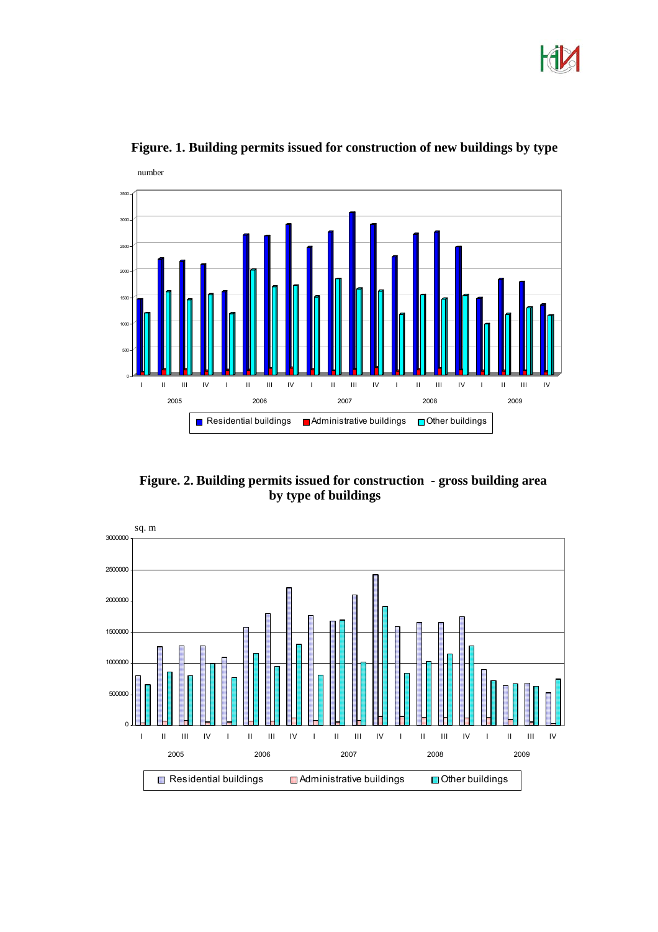



**Figure. 1. Building permits issued for construction of new buildings by type**

 **Figure. 2. Building permits issued for construction - gross building area by type of buildings**